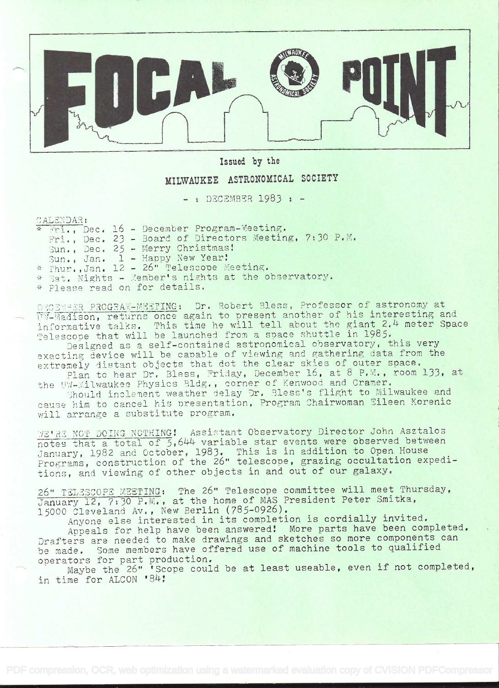

Issued by the

## MILWAUKEE ASTRONOMICAL SOCIETY

 $-$  : DECEMBER 1983 :  $-$ 

CALENDAR:

\* Fri., Dec. 16 - December Program-Meeting. Fri., Dec. 23 - Board of Directors Meeting, 7:30 P.M. Sun., Dec. 25 - Merry Christmas! Sun., Jan. 1 - Happy New Year! \* Thur. Jan. 12 - 26" Telescope Meeting. \* Sat. Nights - Member's nights at the observatory. \* Please read on for details.

DECEMBER PROGRAM-MEETING: Dr. Robert Bless, Professor of astronomy at WI-Madison, returns once again to present another of his interesting and informative talks. This time he will tell about the giant 2.4 meter Space Telescope that will be launched from a space shuttle in 1985.

Designed as a self-contained astronomical observatory, this very exacting device will be capable of viewing and gathering data from the extremely distant objects that dot the clear skies of outer space. Plan to hear Dr. Bless, Friday, December 16, at 8 P.M., room 133, at

the UW-Milwaukee Physics Bldg., corner of Kenwood and Cramer.

Should inclement weather delay Dr. Bless's flight to Milwaukee and cause him to cancel his presentation, Program Chairwoman Eileen Korenic will arrange a substitute program.

WE'RE NOT DOING NOTHING! Assistant Observatory Director John Asztalos notes that a total of 5,644 variable star events were observed between January, 1982 and October, 1983. This is in addition to Open House Programs, construction of the 26" telescope, grazing occultation expeditions, and viewing of other objects in and out of our galaxy.

26" TELESCOPE MEETING: The 26" Telescope committee will meet Thursday, January 12, 7:30 P.M., at the home of MAS President Peter Smitka, 15000 Cleveland Av., New Berlin (785-0926).

Anyone else interested in its completion is cordially invited.

Appeals for help have been answered! More parts have been completed. Drafters are needed to make drawings and sketches so more components can be made. Some members have offered use of machine tools to qualified operators for part production.<br>Maybe the 26" 'Scope could be at least useable, even if not completed,

in time for ALCON '84!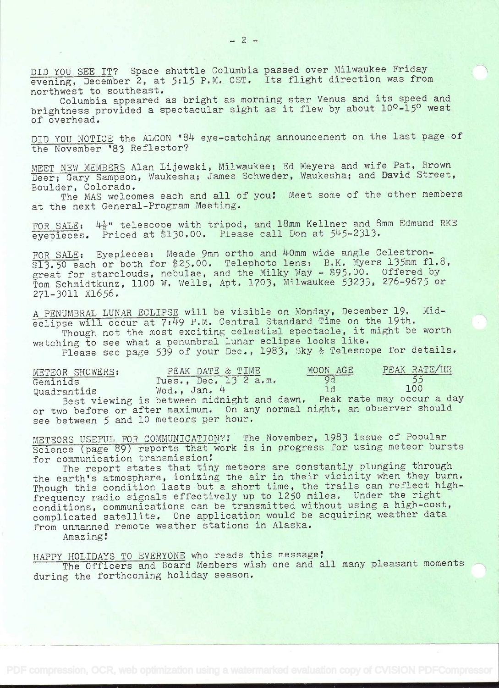DID YOU SEE IT? Space shuttle Columbia passed over Milwaukee Friday evening, December 2, at 5:15 P.M. CST. Its flight direction was from northwest to southeast.

Columbia appeared as bright as morning star Venus and its speed and brightness provided a spectacular sight as it flew by about 10<sup>0</sup>-15<sup>0</sup> west of overhead.

DID YOU NOTICE the ALCON '84 eye-catching announcement on the last page of the November '83 Reflector?

MEET NEW MEMBERS Alan Lijewski, Milwaukee; Ed Meyers and wife Pat, Brown Deer; Gary Sampson, Waukesha; James Schweder, Waukesha; and David Street, Boulder, Colorado.

The MAS welcomes each and all of you! Meet some of the other members at the next General-Program Meeting.

FOR SALE:  $4\frac{1}{2}$ " telescope with tripod, and 18mm Kellner and 8mm Edmund RKE eyepieces. Priced at \$130.00. Please call Don at 545-2313.

FOR SALE: Eyepieces: Meade 9mm ortho and 40mm wide angle Celestron-\$13.50 each or both for \$25.00. Telephoto lens: B.K. Myers 135mm fl.8, great for starclouds, nebulae, and the Milky Way -  $395.00.$  Offered by Tom Schmidtkunz, 1100 W. Wells, Apt, 1703, Milwaukee 53233, 276-9675 or 271-3011 x1656,

A PENUMBRAL LUNAR ECLIPSE will be visible ori Monday, December 19, Mideclipse will occur at 7:49 P.M. Central Standard Time on the 19th.

Though not the most exciting celestial spectacle, it might be worth watching to see what a penumbral lunar eclipse looks like, Please see page 539 of your Dec., 1983, Sky & Telescope for details.

| METEOR SHOWERS:                        | PEAK DATE & TIME                                                        | MOON AGE                 | PEAK RATE/HR |
|----------------------------------------|-------------------------------------------------------------------------|--------------------------|--------------|
| Geminids                               | Tues., Dec. 13 2 a.m.                                                   | $-9d$                    |              |
| Quadrantids                            | Wed., Jan. 4                                                            | $\overline{\phantom{a}}$ | 100          |
|                                        | Best viewing is between midnight and dawn. Peak rate may occur a day    |                          |              |
|                                        | or two before or after maximum. On any normal night, an observer should |                          |              |
| see between 5 and 10 meteors per hour. |                                                                         |                          |              |

METEORS USEFUL FOR COMMUNICATION?! The November, 1983 issue of Popular Science (page 89) reports that work is in progress for using meteor bursts for communication transmission!

The report states that tiny meteors are constantly plunging through the earth's atmosphere, ionizing the air in their vicinity when they burn. Though this condition lasts but a short time, the trails can reflect highfrequency radio signals effectively up to 1250 miles. Under the right conditions, communications can be transmitted without using a high-cost, complicated satellite. One application would be acquiring weather data from unmanned remote weather stations in Alaska.

Amaz ing

HAPPY HOLIDAYS TO EVERYONE who reads this message!

The Officers and Board Members wish one and all many pleasant moments during the forthcoming holiday season.